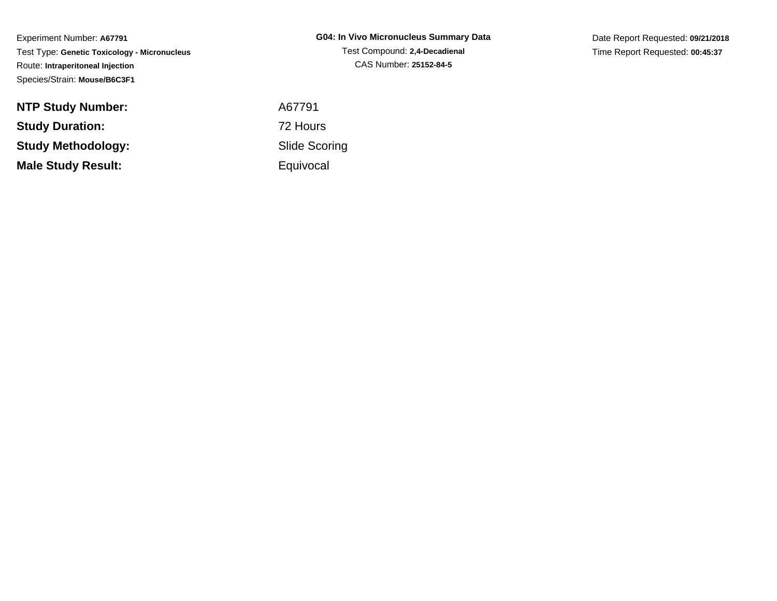**G04: In Vivo Micronucleus Summary Data**Test Compound: **2,4-Decadienal**CAS Number: **25152-84-5**

Date Report Requested: **09/21/2018**Time Report Requested: **00:45:37**

**NTP Study Number:Study Duration:Study Methodology:Male Study Result:**

 A67791 72 Hours Slide Scoring**Equivocal**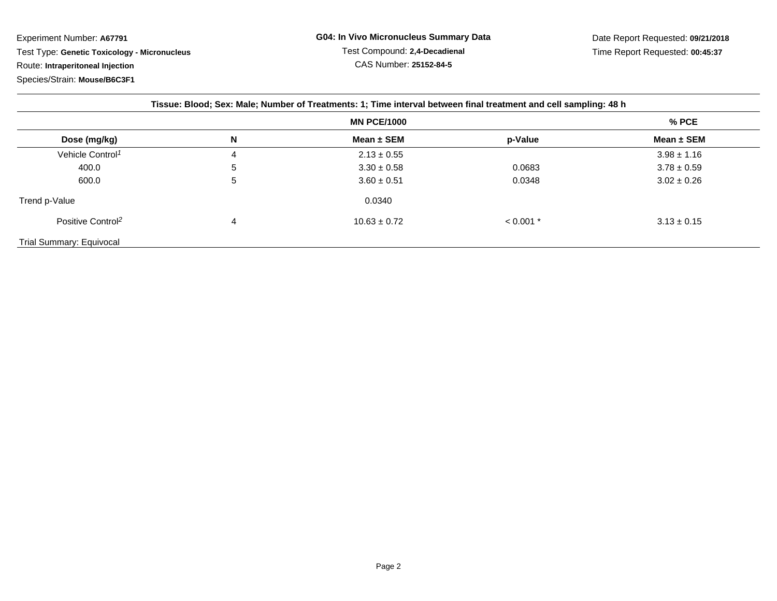| Tissue: Blood; Sex: Male; Number of Treatments: 1; Time interval between final treatment and cell sampling: 48 h |                    |                  |             |                 |  |  |  |
|------------------------------------------------------------------------------------------------------------------|--------------------|------------------|-------------|-----------------|--|--|--|
|                                                                                                                  | <b>MN PCE/1000</b> |                  |             | % PCE           |  |  |  |
| Dose (mg/kg)                                                                                                     | Ν                  | Mean $\pm$ SEM   | p-Value     | Mean $\pm$ SEM  |  |  |  |
| Vehicle Control <sup>1</sup>                                                                                     | 4                  | $2.13 \pm 0.55$  |             | $3.98 \pm 1.16$ |  |  |  |
| 400.0                                                                                                            | 5                  | $3.30 \pm 0.58$  | 0.0683      | $3.78 \pm 0.59$ |  |  |  |
| 600.0                                                                                                            | 5                  | $3.60 \pm 0.51$  | 0.0348      | $3.02 \pm 0.26$ |  |  |  |
| Trend p-Value                                                                                                    |                    | 0.0340           |             |                 |  |  |  |
| Positive Control <sup>2</sup>                                                                                    | 4                  | $10.63 \pm 0.72$ | $< 0.001$ * | $3.13 \pm 0.15$ |  |  |  |
| Trial Summary: Equivocal                                                                                         |                    |                  |             |                 |  |  |  |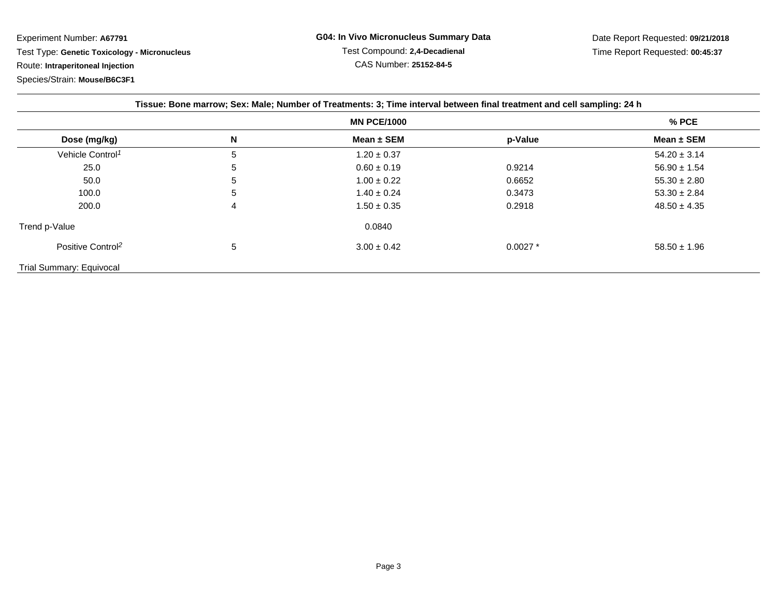Experiment Number: **A67791**Test Type: **Genetic Toxicology - Micronucleus**

Route: **Intraperitoneal Injection**

Species/Strain: **Mouse/B6C3F1**

| Tissue: Bone marrow; Sex: Male; Number of Treatments: 3; Time interval between final treatment and cell sampling: 24 h |                    |                 |            |                  |  |  |  |
|------------------------------------------------------------------------------------------------------------------------|--------------------|-----------------|------------|------------------|--|--|--|
|                                                                                                                        | <b>MN PCE/1000</b> |                 |            | $%$ PCE          |  |  |  |
| Dose (mg/kg)                                                                                                           | N                  | Mean $\pm$ SEM  | p-Value    | Mean $\pm$ SEM   |  |  |  |
| Vehicle Control <sup>1</sup>                                                                                           | 5                  | $1.20 \pm 0.37$ |            | $54.20 \pm 3.14$ |  |  |  |
| 25.0                                                                                                                   | 5                  | $0.60 \pm 0.19$ | 0.9214     | $56.90 \pm 1.54$ |  |  |  |
| 50.0                                                                                                                   | 5                  | $1.00 \pm 0.22$ | 0.6652     | $55.30 \pm 2.80$ |  |  |  |
| 100.0                                                                                                                  | 5                  | $1.40 \pm 0.24$ | 0.3473     | $53.30 \pm 2.84$ |  |  |  |
| 200.0                                                                                                                  | 4                  | $1.50 \pm 0.35$ | 0.2918     | $48.50 \pm 4.35$ |  |  |  |
| Trend p-Value                                                                                                          |                    | 0.0840          |            |                  |  |  |  |
| Positive Control <sup>2</sup>                                                                                          | 5                  | $3.00 \pm 0.42$ | $0.0027$ * | $58.50 \pm 1.96$ |  |  |  |
| <b>Trial Summary: Equivocal</b>                                                                                        |                    |                 |            |                  |  |  |  |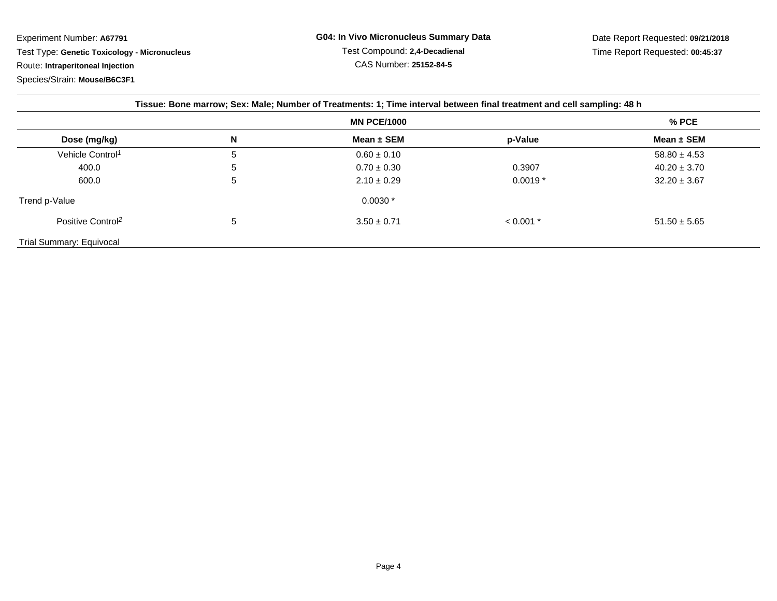| Tissue: Bone marrow; Sex: Male; Number of Treatments: 1; Time interval between final treatment and cell sampling: 48 h |                    |                 |             |                  |  |  |  |
|------------------------------------------------------------------------------------------------------------------------|--------------------|-----------------|-------------|------------------|--|--|--|
|                                                                                                                        | <b>MN PCE/1000</b> |                 |             | $%$ PCE          |  |  |  |
| Dose (mg/kg)                                                                                                           | N                  | Mean $\pm$ SEM  | p-Value     | Mean $\pm$ SEM   |  |  |  |
| Vehicle Control <sup>1</sup>                                                                                           | 5                  | $0.60 \pm 0.10$ |             | $58.80 \pm 4.53$ |  |  |  |
| 400.0                                                                                                                  | 5                  | $0.70 \pm 0.30$ | 0.3907      | $40.20 \pm 3.70$ |  |  |  |
| 600.0                                                                                                                  | 5                  | $2.10 \pm 0.29$ | $0.0019*$   | $32.20 \pm 3.67$ |  |  |  |
| Trend p-Value                                                                                                          |                    | $0.0030*$       |             |                  |  |  |  |
| Positive Control <sup>2</sup>                                                                                          | 5                  | $3.50 \pm 0.71$ | $< 0.001$ * | $51.50 \pm 5.65$ |  |  |  |
| Trial Summary: Equivocal                                                                                               |                    |                 |             |                  |  |  |  |